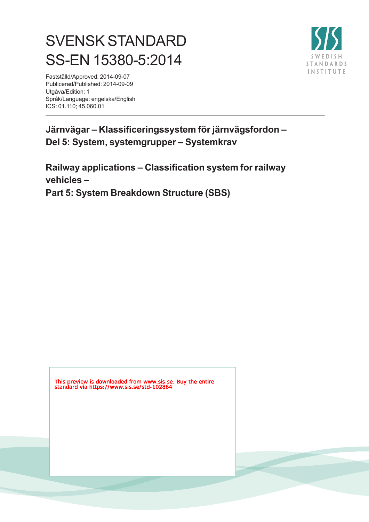# SVENSK STANDARD SS-EN 15380-5:2014



Fastställd/Approved: 2014-09-07 Publicerad/Published: 2014-09-09 Utgåva/Edition: 1 Språk/Language: engelska/English ICS: 01.110; 45.060.01

**Järnvägar – Klassificeringssystem för järnvägsfordon – Del 5: System, systemgrupper – Systemkrav**

**Railway applications – Classification system for railway vehicles –**

**Part 5: System Breakdown Structure (SBS)**

This preview is downloaded from www.sis.se. Buy the entire standard via https://www.sis.se/std-102864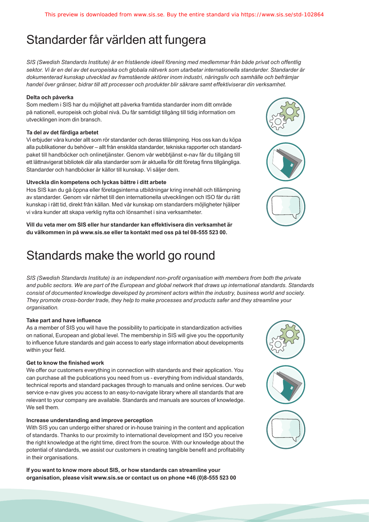## Standarder får världen att fungera

*SIS (Swedish Standards Institute) är en fristående ideell förening med medlemmar från både privat och offentlig sektor. Vi är en del av det europeiska och globala nätverk som utarbetar internationella standarder. Standarder är dokumenterad kunskap utvecklad av framstående aktörer inom industri, näringsliv och samhälle och befrämjar handel över gränser, bidrar till att processer och produkter blir säkrare samt effektiviserar din verksamhet.* 

#### **Delta och påverka**

Som medlem i SIS har du möjlighet att påverka framtida standarder inom ditt område på nationell, europeisk och global nivå. Du får samtidigt tillgång till tidig information om utvecklingen inom din bransch.

#### **Ta del av det färdiga arbetet**

Vi erbjuder våra kunder allt som rör standarder och deras tillämpning. Hos oss kan du köpa alla publikationer du behöver – allt från enskilda standarder, tekniska rapporter och standardpaket till handböcker och onlinetjänster. Genom vår webbtjänst e-nav får du tillgång till ett lättnavigerat bibliotek där alla standarder som är aktuella för ditt företag finns tillgängliga. Standarder och handböcker är källor till kunskap. Vi säljer dem.

#### **Utveckla din kompetens och lyckas bättre i ditt arbete**

Hos SIS kan du gå öppna eller företagsinterna utbildningar kring innehåll och tillämpning av standarder. Genom vår närhet till den internationella utvecklingen och ISO får du rätt kunskap i rätt tid, direkt från källan. Med vår kunskap om standarders möjligheter hjälper vi våra kunder att skapa verklig nytta och lönsamhet i sina verksamheter.

**Vill du veta mer om SIS eller hur standarder kan effektivisera din verksamhet är du välkommen in på www.sis.se eller ta kontakt med oss på tel 08-555 523 00.**

## Standards make the world go round

*SIS (Swedish Standards Institute) is an independent non-profit organisation with members from both the private and public sectors. We are part of the European and global network that draws up international standards. Standards consist of documented knowledge developed by prominent actors within the industry, business world and society. They promote cross-border trade, they help to make processes and products safer and they streamline your organisation.*

#### **Take part and have influence**

As a member of SIS you will have the possibility to participate in standardization activities on national, European and global level. The membership in SIS will give you the opportunity to influence future standards and gain access to early stage information about developments within your field.

#### **Get to know the finished work**

We offer our customers everything in connection with standards and their application. You can purchase all the publications you need from us - everything from individual standards, technical reports and standard packages through to manuals and online services. Our web service e-nav gives you access to an easy-to-navigate library where all standards that are relevant to your company are available. Standards and manuals are sources of knowledge. We sell them.

#### **Increase understanding and improve perception**

With SIS you can undergo either shared or in-house training in the content and application of standards. Thanks to our proximity to international development and ISO you receive the right knowledge at the right time, direct from the source. With our knowledge about the potential of standards, we assist our customers in creating tangible benefit and profitability in their organisations.

**If you want to know more about SIS, or how standards can streamline your organisation, please visit www.sis.se or contact us on phone +46 (0)8-555 523 00**



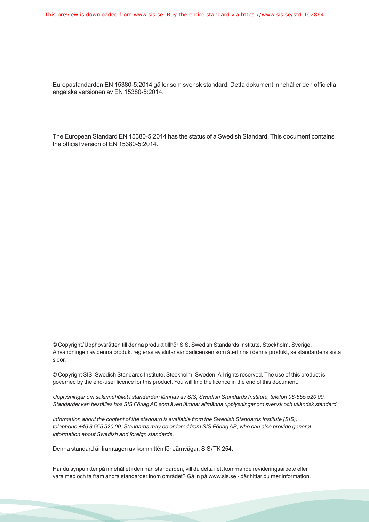Europastandarden EN 15380-5:2014 gäller som svensk standard. Detta dokument innehåller den officiella engelska versionen av EN 15380-5:2014.

The European Standard EN 15380-5:2014 has the status of a Swedish Standard. This document contains the official version of EN 15380-5:2014.

© Copyright / Upphovsrätten till denna produkt tillhör SIS, Swedish Standards Institute, Stockholm, Sverige. Användningen av denna produkt regleras av slutanvändarlicensen som återfinns i denna produkt, se standardens sista sidor.

© Copyright SIS, Swedish Standards Institute, Stockholm, Sweden. All rights reserved. The use of this product is governed by the end-user licence for this product. You will find the licence in the end of this document.

*Upplysningar om sakinnehållet i standarden lämnas av SIS, Swedish Standards Institute, telefon 08-555 520 00. Standarder kan beställas hos SIS Förlag AB som även lämnar allmänna upplysningar om svensk och utländsk standard.*

*Information about the content of the standard is available from the Swedish Standards Institute (SIS), telephone +46 8 555 520 00. Standards may be ordered from SIS Förlag AB, who can also provide general information about Swedish and foreign standards.*

Denna standard är framtagen av kommittén för Järnvägar, SIS / TK 254.

Har du synpunkter på innehållet i den här standarden, vill du delta i ett kommande revideringsarbete eller vara med och ta fram andra standarder inom området? Gå in på www.sis.se - där hittar du mer information.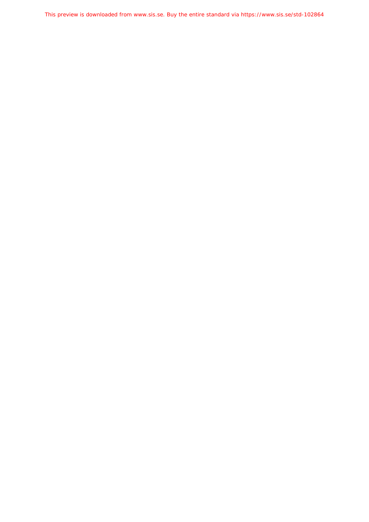This preview is downloaded from www.sis.se. Buy the entire standard via https://www.sis.se/std-102864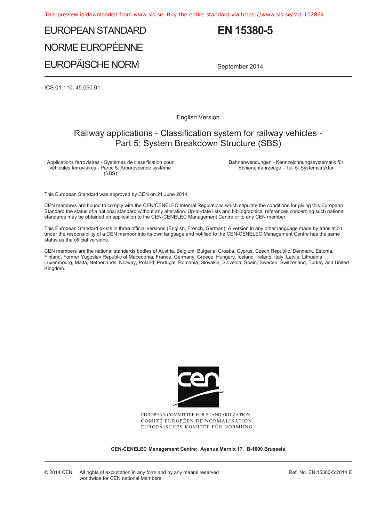## EUROPEAN STANDARD NORME EUROPÉENNE EUROPÄISCHE NORM

## **EN 15380-5**

September 2014

ICS 01.110; 45.060.01

English Version

## Railway applications - Classification system for railway vehicles - Part 5: System Breakdown Structure (SBS)

Applications ferroviaires - Systèmes de classification pour véhicules ferroviaires - Partie 5: Arborescence système (SBS)

Bahnanwendungen - Kennzeichnungssystematik für Schienenfahrzeuge - Teil 5: Systemstruktur

This European Standard was approved by CEN on 21 June 2014.

CEN members are bound to comply with the CEN/CENELEC Internal Regulations which stipulate the conditions for giving this European Standard the status of a national standard without any alteration. Up-to-date lists and bibliographical references concerning such national standards may be obtained on application to the CEN-CENELEC Management Centre or to any CEN member.

This European Standard exists in three official versions (English, French, German). A version in any other language made by translation under the responsibility of a CEN member into its own language and notified to the CEN-CENELEC Management Centre has the same status as the official versions.

CEN members are the national standards bodies of Austria, Belgium, Bulgaria, Croatia, Cyprus, Czech Republic, Denmark, Estonia, Finland, Former Yugoslav Republic of Macedonia, France, Germany, Greece, Hungary, Iceland, Ireland, Italy, Latvia, Lithuania, Luxembourg, Malta, Netherlands, Norway, Poland, Portugal, Romania, Slovakia, Slovenia, Spain, Sweden, Switzerland, Turkey and United Kingdom.



EUROPEAN COMMITTEE FOR STANDARDIZATION COMITÉ EUROPÉEN DE NORMALISATION EUROPÄISCHES KOMITEE FÜR NORMUNG

**CEN-CENELEC Management Centre: Avenue Marnix 17, B-1000 Brussels** 

Ref. No. EN 15380-5:2014 E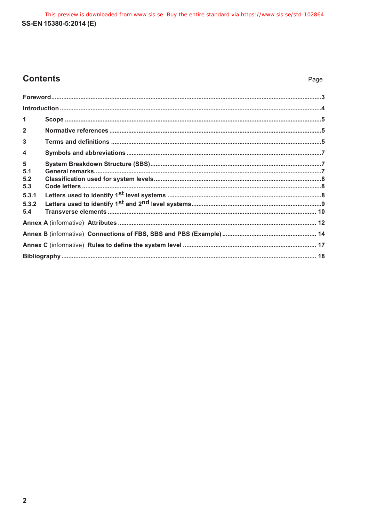## **Contents**

| $\blacktriangleleft$         |  |
|------------------------------|--|
| $\overline{2}$               |  |
| $\overline{\mathbf{3}}$      |  |
| $\boldsymbol{4}$             |  |
| $5\phantom{1}$<br>5.1<br>5.2 |  |
| 5.3                          |  |
| 5.3.1                        |  |
| 5.3.2<br>5.4                 |  |
|                              |  |
|                              |  |
|                              |  |
|                              |  |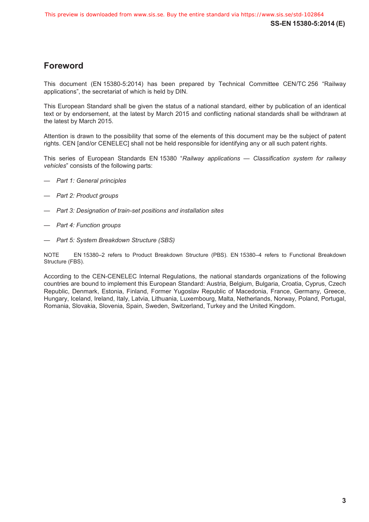## **Foreword**

This document (EN 15380-5:2014) has been prepared by Technical Committee CEN/TC 256 "Railway applications", the secretariat of which is held by DIN.

This European Standard shall be given the status of a national standard, either by publication of an identical text or by endorsement, at the latest by March 2015 and conflicting national standards shall be withdrawn at the latest by March 2015.

Attention is drawn to the possibility that some of the elements of this document may be the subject of patent rights. CEN [and/or CENELEC] shall not be held responsible for identifying any or all such patent rights.

This series of European Standards EN 15380 "*Railway applications — Classification system for railway vehicles*" consists of the following parts:

- *Part 1: General principles*
- *Part 2: Product groups*
- *Part 3: Designation of train-set positions and installation sites*
- *Part 4: Function groups*
- *Part 5: System Breakdown Structure (SBS)*

NOTE EN 15380–2 refers to Product Breakdown Structure (PBS). EN 15380–4 refers to Functional Breakdown Structure (FBS).

According to the CEN-CENELEC Internal Regulations, the national standards organizations of the following countries are bound to implement this European Standard: Austria, Belgium, Bulgaria, Croatia, Cyprus, Czech Republic, Denmark, Estonia, Finland, Former Yugoslav Republic of Macedonia, France, Germany, Greece, Hungary, Iceland, Ireland, Italy, Latvia, Lithuania, Luxembourg, Malta, Netherlands, Norway, Poland, Portugal, Romania, Slovakia, Slovenia, Spain, Sweden, Switzerland, Turkey and the United Kingdom.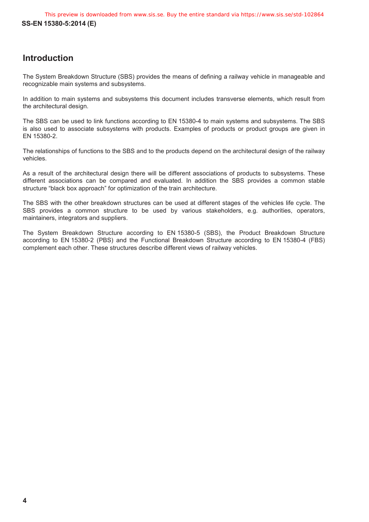## **Introduction**

The System Breakdown Structure (SBS) provides the means of defining a railway vehicle in manageable and recognizable main systems and subsystems.

In addition to main systems and subsystems this document includes transverse elements, which result from the architectural design.

The SBS can be used to link functions according to EN 15380-4 to main systems and subsystems. The SBS is also used to associate subsystems with products. Examples of products or product groups are given in EN 15380-2.

The relationships of functions to the SBS and to the products depend on the architectural design of the railway vehicles.

As a result of the architectural design there will be different associations of products to subsystems. These different associations can be compared and evaluated. In addition the SBS provides a common stable structure "black box approach" for optimization of the train architecture.

The SBS with the other breakdown structures can be used at different stages of the vehicles life cycle. The SBS provides a common structure to be used by various stakeholders, e.g. authorities, operators, maintainers, integrators and suppliers.

The System Breakdown Structure according to EN 15380-5 (SBS), the Product Breakdown Structure according to EN 15380-2 (PBS) and the Functional Breakdown Structure according to EN 15380-4 (FBS) complement each other. These structures describe different views of railway vehicles.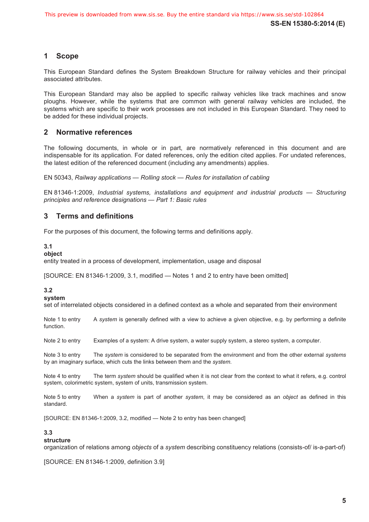### **1 Scope**

This European Standard defines the System Breakdown Structure for railway vehicles and their principal associated attributes.

This European Standard may also be applied to specific railway vehicles like track machines and snow ploughs. However, while the systems that are common with general railway vehicles are included, the systems which are specific to their work processes are not included in this European Standard. They need to be added for these individual projects.

### **2 Normative references**

The following documents, in whole or in part, are normatively referenced in this document and are indispensable for its application. For dated references, only the edition cited applies. For undated references, the latest edition of the referenced document (including any amendments) applies.

EN 50343, *Railway applications — Rolling stock — Rules for installation of cabling*

EN 81346-1:2009, *Industrial systems, installations and equipment and industrial products — Structuring principles and reference designations — Part 1: Basic rules*

### **3 Terms and definitions**

For the purposes of this document, the following terms and definitions apply.

#### **3.1**

**object**

entity treated in a process of development, implementation, usage and disposal

[SOURCE: EN 81346-1:2009, 3.1, modified — Notes 1 and 2 to entry have been omitted]

#### **3.2**

**system**

set of interrelated objects considered in a defined context as a whole and separated from their environment

Note 1 to entry A *system* is generally defined with a view to achieve a given objective, e.g. by performing a definite function.

Note 2 to entry Examples of a system: A drive system, a water supply system, a stereo system, a computer.

Note 3 to entry The *system* is considered to be separated from the environment and from the other external *systems* by an imaginary surface, which cuts the links between them and the *system*.

Note 4 to entry The term *system* should be qualified when it is not clear from the context to what it refers, e.g. control system, colorimetric system, system of units, transmission system.

Note 5 to entry When a *system* is part of another *system*, it may be considered as an *object* as defined in this standard.

[SOURCE: EN 81346-1:2009, 3.2, modified — Note 2 to entry has been changed]

#### **3.3**

#### **structure**

organization of relations among *objects* of a *system* describing constituency relations (consists-of/ is-a-part-of)

[SOURCE: EN 81346-1:2009, definition 3.9]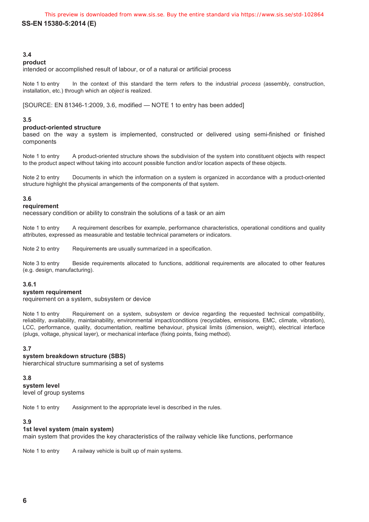#### **3.4**

#### **product**

intended or accomplished result of labour, or of a natural or artificial process

Note 1 to entry In the context of this standard the term refers to the industrial *process* (assembly, construction, installation, etc.) through which an *object* is realized.

[SOURCE: EN 81346-1:2009, 3.6, modified — NOTE 1 to entry has been added]

#### **3.5**

#### **product-oriented structure**

based on the way a system is implemented, constructed or delivered using semi-finished or finished components

Note 1 to entry A product-oriented structure shows the subdivision of the system into constituent objects with respect to the product aspect without taking into account possible function and/or location aspects of these objects.

Note 2 to entry Documents in which the information on a system is organized in accordance with a product-oriented structure highlight the physical arrangements of the components of that system.

#### **3.6**

#### **requirement**

necessary condition or ability to constrain the solutions of a task or an aim

Note 1 to entry A requirement describes for example, performance characteristics, operational conditions and quality attributes, expressed as measurable and testable technical parameters or indicators.

Note 2 to entry Requirements are usually summarized in a specification.

Note 3 to entry Beside requirements allocated to functions, additional requirements are allocated to other features (e.g. design, manufacturing).

#### **3.6.1**

#### **system requirement**

requirement on a system, subsystem or device

Note 1 to entry Requirement on a system, subsystem or device regarding the requested technical compatibility, reliability, availability, maintainability, environmental impact/conditions (recyclables, emissions, EMC, climate, vibration), LCC, performance, quality, documentation, realtime behaviour, physical limits (dimension, weight), electrical interface (plugs, voltage, physical layer), or mechanical interface (fixing points, fixing method).

#### **3.7**

#### **system breakdown structure (SBS)**

hierarchical structure summarising a set of systems

#### **3.8**

**system level**

level of group systems

Note 1 to entry Assignment to the appropriate level is described in the rules.

#### **3.9**

#### **1st level system (main system)**

main system that provides the key characteristics of the railway vehicle like functions, performance

Note 1 to entry A railway vehicle is built up of main systems.